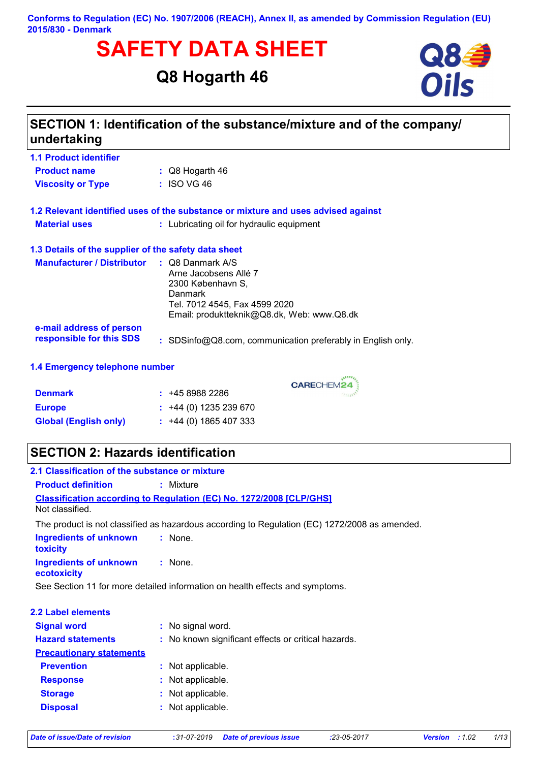#### **Conforms to Regulation (EC) No. 1907/2006 (REACH), Annex II, as amended by Commission Regulation (EU) 2015/830 - Denmark**

# **SAFETY DATA SHEET**<br>
Q8 Hogarth 46<br>
Oils

# **Q8 Hogarth 46**



| undertaking                                                     | SECTION 1: Identification of the substance/mixture and of the company/                                                                                              |  |  |
|-----------------------------------------------------------------|---------------------------------------------------------------------------------------------------------------------------------------------------------------------|--|--|
| <b>1.1 Product identifier</b>                                   |                                                                                                                                                                     |  |  |
| <b>Product name</b>                                             | $\therefore$ Q8 Hogarth 46                                                                                                                                          |  |  |
| <b>Viscosity or Type</b>                                        | $:$ ISO VG 46                                                                                                                                                       |  |  |
|                                                                 | 1.2 Relevant identified uses of the substance or mixture and uses advised against                                                                                   |  |  |
| <b>Material uses</b>                                            | : Lubricating oil for hydraulic equipment                                                                                                                           |  |  |
| 1.3 Details of the supplier of the safety data sheet            |                                                                                                                                                                     |  |  |
| <b>Manufacturer / Distributor</b>                               | $\therefore$ Q8 Danmark A/S<br>Arne Jacobsens Allé 7<br>2300 København S,<br>Danmark<br>Tel. 7012 4545, Fax 4599 2020<br>Email: produktteknik@Q8.dk, Web: www.Q8.dk |  |  |
| e-mail address of person<br>responsible for this SDS            | : SDSinfo@Q8.com, communication preferably in English only.                                                                                                         |  |  |
| 1.4 Emergency telephone number                                  |                                                                                                                                                                     |  |  |
| <b>Denmark</b><br><b>Europe</b><br><b>Global (English only)</b> | CARECHEM24<br>: 4589882286<br>$\div$ +44 (0) 1235 239 670<br>$\div$ +44 (0) 1865 407 333                                                                            |  |  |

# **SECTION 2: Hazards identification**

| 2.1 Classification of the substance or mixture |                                                                                               |
|------------------------------------------------|-----------------------------------------------------------------------------------------------|
| <b>Product definition</b>                      | $:$ Mixture                                                                                   |
|                                                | <b>Classification according to Regulation (EC) No. 1272/2008 [CLP/GHS]</b>                    |
| Not classified.                                |                                                                                               |
|                                                | The product is not classified as hazardous according to Regulation (EC) 1272/2008 as amended. |
| <b>Ingredients of unknown</b><br>toxicity      | : None.                                                                                       |
| <b>Ingredients of unknown</b><br>ecotoxicity   | $:$ None.                                                                                     |
|                                                | See Section 11 for more detailed information on health effects and symptoms.                  |
| 2.2 Label elements                             |                                                                                               |
| <b>Signal word</b>                             | : No signal word.                                                                             |
| <b>Hazard statements</b>                       | : No known significant effects or critical hazards.                                           |
| <b>Precautionary statements</b>                |                                                                                               |
| <b>Prevention</b>                              | : Not applicable.                                                                             |
| <b>Response</b>                                | : Not applicable.                                                                             |
| <b>Storage</b>                                 | : Not applicable.                                                                             |
| <b>Disposal</b>                                | Not applicable.                                                                               |
|                                                |                                                                                               |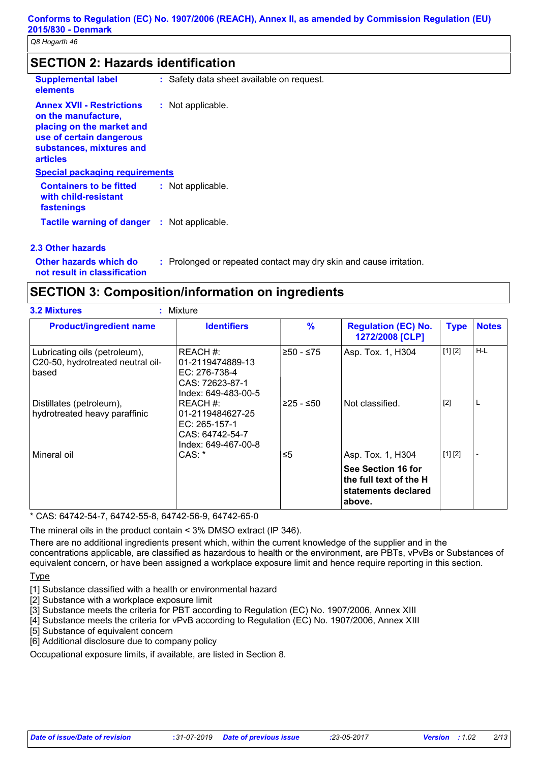|  | <b>SECTION 2: Hazards identification</b> |  |
|--|------------------------------------------|--|
|  |                                          |  |

| <b>Supplemental label</b><br>elements                                                                                                                           | : Safety data sheet available on request. |
|-----------------------------------------------------------------------------------------------------------------------------------------------------------------|-------------------------------------------|
| <b>Annex XVII - Restrictions</b><br>on the manufacture,<br>placing on the market and<br>use of certain dangerous<br>substances, mixtures and<br><b>articles</b> | : Not applicable.                         |
| <b>Special packaging requirements</b>                                                                                                                           |                                           |
| <b>Containers to be fitted</b><br>with child-resistant<br>fastenings                                                                                            | : Not applicable.                         |
| <b>Tactile warning of danger</b>                                                                                                                                | : Not applicable.                         |
| 0.0.04 bende bennemmen o                                                                                                                                        |                                           |

#### **2.3 Other hazards**

**Other hazards which do :** : Prolonged or repeated contact may dry skin and cause irritation.

**not result in classification**

## **SECTION 3: Composition/information on ingredients**

| <b>Product/ingredient name</b>                                              | <b>Identifiers</b>                                                                      | $\frac{9}{6}$ | <b>Regulation (EC) No.</b><br>1272/2008 [CLP]                                 | <b>Type</b> | <b>Notes</b> |
|-----------------------------------------------------------------------------|-----------------------------------------------------------------------------------------|---------------|-------------------------------------------------------------------------------|-------------|--------------|
| Lubricating oils (petroleum),<br>C20-50, hydrotreated neutral oil-<br>based | REACH #:<br>01-2119474889-13<br>EC: 276-738-4<br>CAS: 72623-87-1<br>Index: 649-483-00-5 | ≥50 - ≤75     | Asp. Tox. 1, H304                                                             | [1] [2]     | $H-L$        |
| Distillates (petroleum),<br>hydrotreated heavy paraffinic                   | REACH #:<br>01-2119484627-25<br>EC: 265-157-1<br>CAS: 64742-54-7<br>Index: 649-467-00-8 | ≥25 - ≤50     | Not classified.                                                               | $[2]$       | L            |
| Mineral oil                                                                 | CAS: *                                                                                  | ≤5            | Asp. Tox. 1, H304                                                             | [1] [2]     |              |
|                                                                             |                                                                                         |               | See Section 16 for<br>the full text of the H<br>statements declared<br>above. |             |              |

\* CAS: 64742-54-7, 64742-55-8, 64742-56-9, 64742-65-0

The mineral oils in the product contain < 3% DMSO extract (IP 346).

There are no additional ingredients present which, within the current knowledge of the supplier and in the concentrations applicable, are classified as hazardous to health or the environment, are PBTs, vPvBs or Substances of equivalent concern, or have been assigned a workplace exposure limit and hence require reporting in this section.

#### Type

[1] Substance classified with a health or environmental hazard

[2] Substance with a workplace exposure limit

[3] Substance meets the criteria for PBT according to Regulation (EC) No. 1907/2006, Annex XIII

[4] Substance meets the criteria for vPvB according to Regulation (EC) No. 1907/2006, Annex XIII

[5] Substance of equivalent concern

[6] Additional disclosure due to company policy

Occupational exposure limits, if available, are listed in Section 8.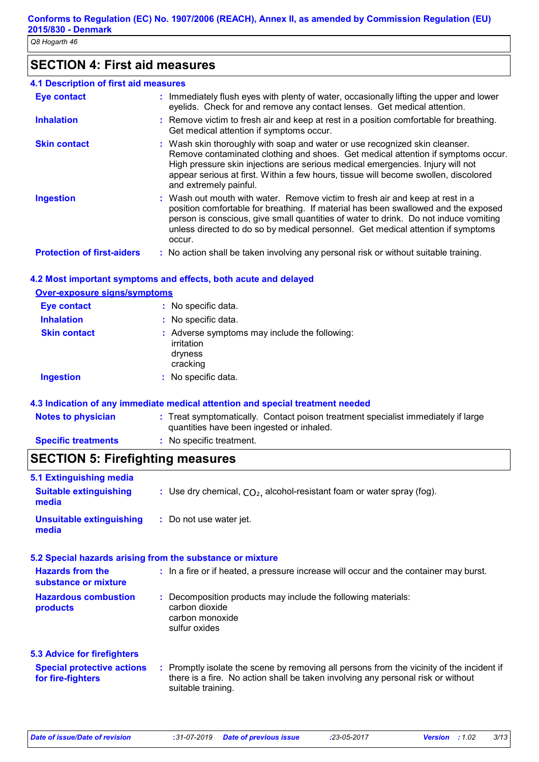# **SECTION 4: First aid measures**

| 4.1 Description of first aid measures |                                                                                                                                                                                                                                                                                                                                                                    |
|---------------------------------------|--------------------------------------------------------------------------------------------------------------------------------------------------------------------------------------------------------------------------------------------------------------------------------------------------------------------------------------------------------------------|
| <b>Eye contact</b>                    | : Immediately flush eyes with plenty of water, occasionally lifting the upper and lower<br>eyelids. Check for and remove any contact lenses. Get medical attention.                                                                                                                                                                                                |
| <b>Inhalation</b>                     | : Remove victim to fresh air and keep at rest in a position comfortable for breathing.<br>Get medical attention if symptoms occur.                                                                                                                                                                                                                                 |
| <b>Skin contact</b>                   | : Wash skin thoroughly with soap and water or use recognized skin cleanser.<br>Remove contaminated clothing and shoes. Get medical attention if symptoms occur.<br>High pressure skin injections are serious medical emergencies. Injury will not<br>appear serious at first. Within a few hours, tissue will become swollen, discolored<br>and extremely painful. |
| <b>Ingestion</b>                      | : Wash out mouth with water. Remove victim to fresh air and keep at rest in a<br>position comfortable for breathing. If material has been swallowed and the exposed<br>person is conscious, give small quantities of water to drink. Do not induce vomiting<br>unless directed to do so by medical personnel. Get medical attention if symptoms<br>occur.          |
| <b>Protection of first-aiders</b>     | : No action shall be taken involving any personal risk or without suitable training.                                                                                                                                                                                                                                                                               |

#### **4.2 Most important symptoms and effects, both acute and delayed**

#### **Over-exposure signs/symptoms Skin contact Ingestion Inhalation :** No specific data. No specific data. **:** Adverse symptoms may include the following: **:** irritation dryness cracking **Eye contact :** No specific data.

#### **4.3 Indication of any immediate medical attention and special treatment needed**

| <b>Notes to physician</b>  | : Treat symptomatically. Contact poison treatment specialist immediately if large<br>quantities have been ingested or inhaled. |
|----------------------------|--------------------------------------------------------------------------------------------------------------------------------|
| <b>Specific treatments</b> | : No specific treatment.                                                                                                       |

## **SECTION 5: Firefighting measures**

| 5.1 Extinguishing media                                |                                                                                                                                                                                                     |
|--------------------------------------------------------|-----------------------------------------------------------------------------------------------------------------------------------------------------------------------------------------------------|
| <b>Suitable extinguishing</b><br>media                 | : Use dry chemical, $CO2$ , alcohol-resistant foam or water spray (fog).                                                                                                                            |
| <b>Unsuitable extinguishing</b><br>media               | : Do not use water jet.                                                                                                                                                                             |
|                                                        | 5.2 Special hazards arising from the substance or mixture                                                                                                                                           |
| <b>Hazards from the</b><br>substance or mixture        | : In a fire or if heated, a pressure increase will occur and the container may burst.                                                                                                               |
| <b>Hazardous combustion</b><br>products                | : Decomposition products may include the following materials:<br>carbon dioxide<br>carbon monoxide<br>sulfur oxides                                                                                 |
| <b>5.3 Advice for firefighters</b>                     |                                                                                                                                                                                                     |
| <b>Special protective actions</b><br>for fire-fighters | : Promptly isolate the scene by removing all persons from the vicinity of the incident if<br>there is a fire. No action shall be taken involving any personal risk or without<br>suitable training. |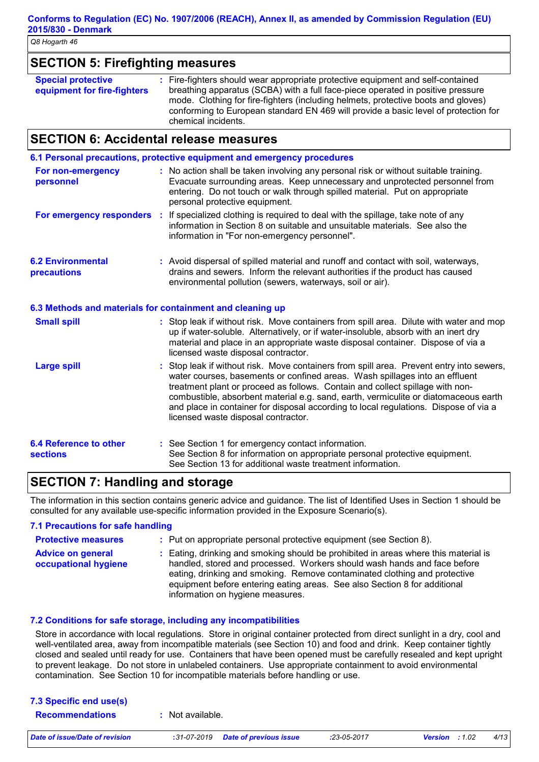| <b>SECTION 5: Firefighting measures</b>                  |                                                                                                                                                                                                                                                                                                                                                                       |  |
|----------------------------------------------------------|-----------------------------------------------------------------------------------------------------------------------------------------------------------------------------------------------------------------------------------------------------------------------------------------------------------------------------------------------------------------------|--|
| <b>Special protective</b><br>equipment for fire-fighters | : Fire-fighters should wear appropriate protective equipment and self-contained<br>breathing apparatus (SCBA) with a full face-piece operated in positive pressure<br>mode. Clothing for fire-fighters (including helmets, protective boots and gloves)<br>conforming to European standard EN 469 will provide a basic level of protection for<br>chemical incidents. |  |

## **SECTION 6: Accidental release measures**

|                                           | 6.1 Personal precautions, protective equipment and emergency procedures                                                                                                                                                                                                                                                                                                                                                                                                        |  |
|-------------------------------------------|--------------------------------------------------------------------------------------------------------------------------------------------------------------------------------------------------------------------------------------------------------------------------------------------------------------------------------------------------------------------------------------------------------------------------------------------------------------------------------|--|
| For non-emergency<br>personnel            | : No action shall be taken involving any personal risk or without suitable training.<br>Evacuate surrounding areas. Keep unnecessary and unprotected personnel from<br>entering. Do not touch or walk through spilled material. Put on appropriate<br>personal protective equipment.                                                                                                                                                                                           |  |
|                                           | <b>For emergency responders</b> : If specialized clothing is required to deal with the spillage, take note of any<br>information in Section 8 on suitable and unsuitable materials. See also the<br>information in "For non-emergency personnel".                                                                                                                                                                                                                              |  |
| <b>6.2 Environmental</b><br>precautions   | : Avoid dispersal of spilled material and runoff and contact with soil, waterways,<br>drains and sewers. Inform the relevant authorities if the product has caused<br>environmental pollution (sewers, waterways, soil or air).                                                                                                                                                                                                                                                |  |
|                                           | 6.3 Methods and materials for containment and cleaning up                                                                                                                                                                                                                                                                                                                                                                                                                      |  |
| <b>Small spill</b>                        | : Stop leak if without risk. Move containers from spill area. Dilute with water and mop<br>up if water-soluble. Alternatively, or if water-insoluble, absorb with an inert dry<br>material and place in an appropriate waste disposal container. Dispose of via a<br>licensed waste disposal contractor.                                                                                                                                                                       |  |
| <b>Large spill</b>                        | : Stop leak if without risk. Move containers from spill area. Prevent entry into sewers,<br>water courses, basements or confined areas. Wash spillages into an effluent<br>treatment plant or proceed as follows. Contain and collect spillage with non-<br>combustible, absorbent material e.g. sand, earth, vermiculite or diatomaceous earth<br>and place in container for disposal according to local regulations. Dispose of via a<br>licensed waste disposal contractor. |  |
| 6.4 Reference to other<br><b>sections</b> | : See Section 1 for emergency contact information.<br>See Section 8 for information on appropriate personal protective equipment.<br>See Section 13 for additional waste treatment information.                                                                                                                                                                                                                                                                                |  |

# **SECTION 7: Handling and storage**

The information in this section contains generic advice and guidance. The list of Identified Uses in Section 1 should be consulted for any available use-specific information provided in the Exposure Scenario(s).

#### **7.1 Precautions for safe handling Protective measures : Advice on general occupational hygiene :** Eating, drinking and smoking should be prohibited in areas where this material is : Put on appropriate personal protective equipment (see Section 8). handled, stored and processed. Workers should wash hands and face before eating, drinking and smoking. Remove contaminated clothing and protective equipment before entering eating areas. See also Section 8 for additional information on hygiene measures.

#### **7.2 Conditions for safe storage, including any incompatibilities**

Store in accordance with local regulations. Store in original container protected from direct sunlight in a dry, cool and well-ventilated area, away from incompatible materials (see Section 10) and food and drink. Keep container tightly closed and sealed until ready for use. Containers that have been opened must be carefully resealed and kept upright to prevent leakage. Do not store in unlabeled containers. Use appropriate containment to avoid environmental contamination. See Section 10 for incompatible materials before handling or use.

| 7.3 Specific end use(s) |                  |  |
|-------------------------|------------------|--|
| <b>Recommendations</b>  | : Not available. |  |
|                         |                  |  |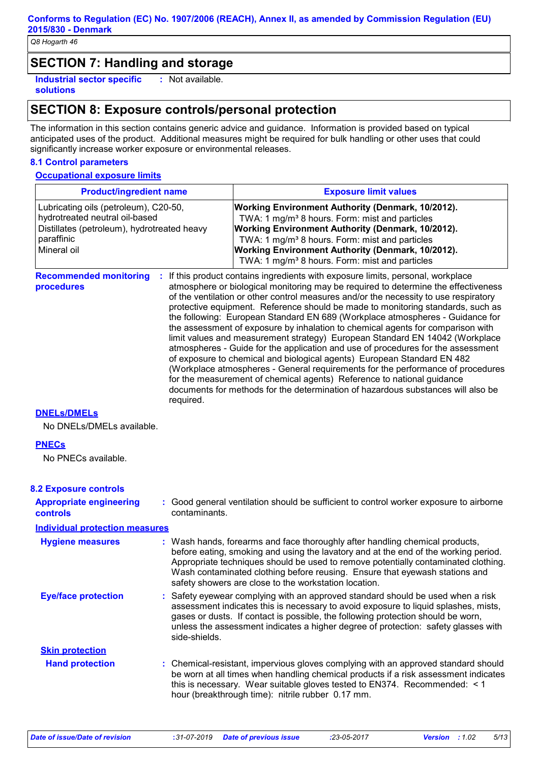## **SECTION 7: Handling and storage**

**Industrial sector specific : solutions** : Not available.

# **SECTION 8: Exposure controls/personal protection**

The information in this section contains generic advice and guidance. Information is provided based on typical anticipated uses of the product. Additional measures might be required for bulk handling or other uses that could significantly increase worker exposure or environmental releases.

#### **8.1 Control parameters**

#### **Occupational exposure limits**

| <b>Product/ingredient name</b>                                                                                                                      |               | <b>Exposure limit values</b>                                                                                                                                                                                                                                                                                                                                                                                                                                                                                                                                                                                                                                                                                                                                                                                                                                                                                                                                                                                        |
|-----------------------------------------------------------------------------------------------------------------------------------------------------|---------------|---------------------------------------------------------------------------------------------------------------------------------------------------------------------------------------------------------------------------------------------------------------------------------------------------------------------------------------------------------------------------------------------------------------------------------------------------------------------------------------------------------------------------------------------------------------------------------------------------------------------------------------------------------------------------------------------------------------------------------------------------------------------------------------------------------------------------------------------------------------------------------------------------------------------------------------------------------------------------------------------------------------------|
| Lubricating oils (petroleum), C20-50,<br>hydrotreated neutral oil-based<br>Distillates (petroleum), hydrotreated heavy<br>paraffinic<br>Mineral oil |               | Working Environment Authority (Denmark, 10/2012).<br>TWA: 1 mg/m <sup>3</sup> 8 hours. Form: mist and particles<br>Working Environment Authority (Denmark, 10/2012).<br>TWA: 1 mg/m <sup>3</sup> 8 hours. Form: mist and particles<br>Working Environment Authority (Denmark, 10/2012).<br>TWA: 1 mg/m <sup>3</sup> 8 hours. Form: mist and particles                                                                                                                                                                                                                                                                                                                                                                                                                                                                                                                                                                                                                                                               |
| <b>Recommended monitoring</b><br>procedures                                                                                                         | required.     | If this product contains ingredients with exposure limits, personal, workplace<br>atmosphere or biological monitoring may be required to determine the effectiveness<br>of the ventilation or other control measures and/or the necessity to use respiratory<br>protective equipment. Reference should be made to monitoring standards, such as<br>the following: European Standard EN 689 (Workplace atmospheres - Guidance for<br>the assessment of exposure by inhalation to chemical agents for comparison with<br>limit values and measurement strategy) European Standard EN 14042 (Workplace<br>atmospheres - Guide for the application and use of procedures for the assessment<br>of exposure to chemical and biological agents) European Standard EN 482<br>(Workplace atmospheres - General requirements for the performance of procedures<br>for the measurement of chemical agents) Reference to national guidance<br>documents for methods for the determination of hazardous substances will also be |
| <b>DNELS/DMELS</b>                                                                                                                                  |               |                                                                                                                                                                                                                                                                                                                                                                                                                                                                                                                                                                                                                                                                                                                                                                                                                                                                                                                                                                                                                     |
| No DNELs/DMELs available.                                                                                                                           |               |                                                                                                                                                                                                                                                                                                                                                                                                                                                                                                                                                                                                                                                                                                                                                                                                                                                                                                                                                                                                                     |
| <b>PNECs</b><br>No PNECs available.                                                                                                                 |               |                                                                                                                                                                                                                                                                                                                                                                                                                                                                                                                                                                                                                                                                                                                                                                                                                                                                                                                                                                                                                     |
| <b>8.2 Exposure controls</b>                                                                                                                        |               |                                                                                                                                                                                                                                                                                                                                                                                                                                                                                                                                                                                                                                                                                                                                                                                                                                                                                                                                                                                                                     |
| <b>Appropriate engineering</b><br><b>controls</b>                                                                                                   | contaminants. | : Good general ventilation should be sufficient to control worker exposure to airborne                                                                                                                                                                                                                                                                                                                                                                                                                                                                                                                                                                                                                                                                                                                                                                                                                                                                                                                              |
| <b>Individual protection measures</b>                                                                                                               |               |                                                                                                                                                                                                                                                                                                                                                                                                                                                                                                                                                                                                                                                                                                                                                                                                                                                                                                                                                                                                                     |
| <b>Hygiene measures</b>                                                                                                                             |               | : Wash hands, forearms and face thoroughly after handling chemical products,<br>before eating, smoking and using the lavatory and at the end of the working period.<br>Appropriate techniques should be used to remove potentially contaminated clothing.<br>Wash contaminated clothing before reusing. Ensure that eyewash stations and<br>safety showers are close to the workstation location.                                                                                                                                                                                                                                                                                                                                                                                                                                                                                                                                                                                                                   |
| <b>Eye/face protection</b>                                                                                                                          | side-shields. | : Safety eyewear complying with an approved standard should be used when a risk<br>assessment indicates this is necessary to avoid exposure to liquid splashes, mists,<br>gases or dusts. If contact is possible, the following protection should be worn,<br>unless the assessment indicates a higher degree of protection: safety glasses with                                                                                                                                                                                                                                                                                                                                                                                                                                                                                                                                                                                                                                                                    |
| <b>Skin protection</b>                                                                                                                              |               |                                                                                                                                                                                                                                                                                                                                                                                                                                                                                                                                                                                                                                                                                                                                                                                                                                                                                                                                                                                                                     |
| <b>Hand protection</b>                                                                                                                              |               | : Chemical-resistant, impervious gloves complying with an approved standard should<br>be worn at all times when handling chemical products if a risk assessment indicates<br>this is necessary. Wear suitable gloves tested to EN374. Recommended: < 1<br>hour (breakthrough time): nitrile rubber 0.17 mm.                                                                                                                                                                                                                                                                                                                                                                                                                                                                                                                                                                                                                                                                                                         |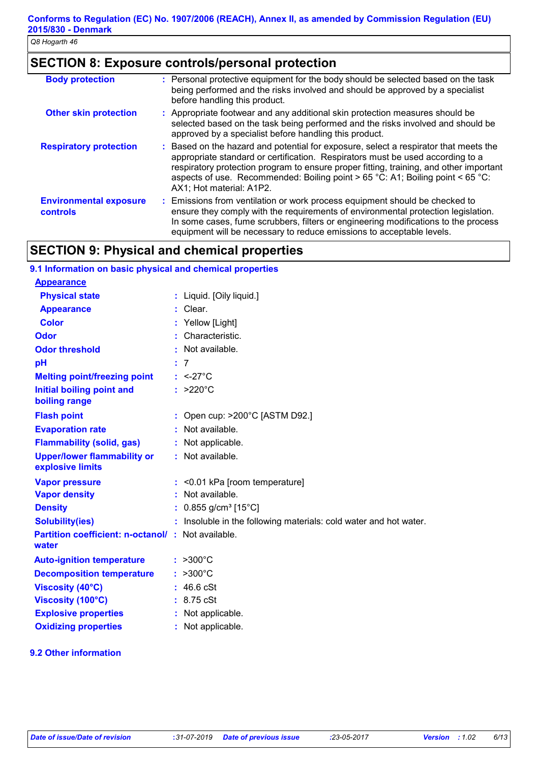# **SECTION 8: Exposure controls/personal protection**

| <b>Body protection</b>                    | : Personal protective equipment for the body should be selected based on the task<br>being performed and the risks involved and should be approved by a specialist<br>before handling this product.                                                                                                                                                                              |
|-------------------------------------------|----------------------------------------------------------------------------------------------------------------------------------------------------------------------------------------------------------------------------------------------------------------------------------------------------------------------------------------------------------------------------------|
| <b>Other skin protection</b>              | : Appropriate footwear and any additional skin protection measures should be<br>selected based on the task being performed and the risks involved and should be<br>approved by a specialist before handling this product.                                                                                                                                                        |
| <b>Respiratory protection</b>             | : Based on the hazard and potential for exposure, select a respirator that meets the<br>appropriate standard or certification. Respirators must be used according to a<br>respiratory protection program to ensure proper fitting, training, and other important<br>aspects of use. Recommended: Boiling point $> 65$ °C: A1; Boiling point < 65 °C:<br>AX1; Hot material: A1P2. |
| <b>Environmental exposure</b><br>controls | : Emissions from ventilation or work process equipment should be checked to<br>ensure they comply with the requirements of environmental protection legislation.<br>In some cases, fume scrubbers, filters or engineering modifications to the process<br>equipment will be necessary to reduce emissions to acceptable levels.                                                  |

# **SECTION 9: Physical and chemical properties**

| 9.1 Information on basic physical and chemical properties         |                                                                   |
|-------------------------------------------------------------------|-------------------------------------------------------------------|
| <b>Appearance</b>                                                 |                                                                   |
| <b>Physical state</b>                                             | : Liquid. [Oily liquid.]                                          |
| <b>Appearance</b>                                                 | Clear.                                                            |
| <b>Color</b>                                                      | Yellow [Light]                                                    |
| <b>Odor</b>                                                       | Characteristic.                                                   |
| <b>Odor threshold</b>                                             | Not available.                                                    |
| pH                                                                | $\overline{7}$                                                    |
| <b>Melting point/freezing point</b>                               | $: <27^{\circ}$ C                                                 |
| <b>Initial boiling point and</b><br>boiling range                 | $: >220^{\circ}C$                                                 |
| <b>Flash point</b>                                                | Open cup: >200°C [ASTM D92.]                                      |
| <b>Evaporation rate</b>                                           | : Not available.                                                  |
| <b>Flammability (solid, gas)</b>                                  | : Not applicable.                                                 |
| <b>Upper/lower flammability or</b><br>explosive limits            | : Not available.                                                  |
| <b>Vapor pressure</b>                                             | $:$ <0.01 kPa [room temperature]                                  |
| <b>Vapor density</b>                                              | : Not available.                                                  |
| <b>Density</b>                                                    | $0.855$ g/cm <sup>3</sup> [15°C]                                  |
| <b>Solubility(ies)</b>                                            | : Insoluble in the following materials: cold water and hot water. |
| <b>Partition coefficient: n-octanol/: Not available.</b><br>water |                                                                   |
| <b>Auto-ignition temperature</b>                                  | $>300^{\circ}$ C                                                  |
| <b>Decomposition temperature</b>                                  | $>300^{\circ}$ C                                                  |
| <b>Viscosity (40°C)</b>                                           | 46.6 cSt                                                          |
| Viscosity (100°C)                                                 | : 8.75 cSt                                                        |
| <b>Explosive properties</b>                                       | Not applicable.                                                   |
| <b>Oxidizing properties</b>                                       | : Not applicable.                                                 |

#### **9.2 Other information**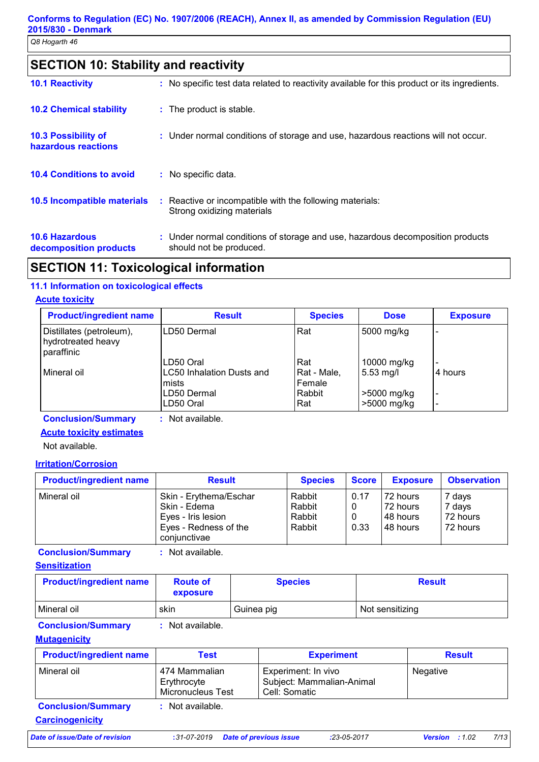# **SECTION 10: Stability and reactivity**

| <b>10.1 Reactivity</b>                            | : No specific test data related to reactivity available for this product or its ingredients.              |
|---------------------------------------------------|-----------------------------------------------------------------------------------------------------------|
| <b>10.2 Chemical stability</b>                    | : The product is stable.                                                                                  |
| <b>10.3 Possibility of</b><br>hazardous reactions | : Under normal conditions of storage and use, hazardous reactions will not occur.                         |
| <b>10.4 Conditions to avoid</b>                   | : No specific data.                                                                                       |
| <b>10.5 Incompatible materials</b>                | : Reactive or incompatible with the following materials:<br>Strong oxidizing materials                    |
| <b>10.6 Hazardous</b><br>decomposition products   | : Under normal conditions of storage and use, hazardous decomposition products<br>should not be produced. |

# **SECTION 11: Toxicological information**

#### **11.1 Information on toxicological effects**

#### **Acute toxicity**

| <b>Product/ingredient name</b>                               | <b>Result</b>                                   |                              | <b>Dose</b>                | <b>Exposure</b>          |
|--------------------------------------------------------------|-------------------------------------------------|------------------------------|----------------------------|--------------------------|
| Distillates (petroleum),<br>hydrotreated heavy<br>paraffinic | ILD50 Dermal                                    | Rat                          | 5000 mg/kg                 |                          |
| l Mineral oil                                                | LD50 Oral<br>LC50 Inhalation Dusts and<br>mists | Rat<br>Rat - Male,<br>Female | 10000 mg/kg<br>$5.53$ mg/l | 4 hours                  |
|                                                              | LD50 Dermal<br>LD50 Oral                        | Rabbit<br>Rat                | >5000 mg/kg<br>>5000 mg/kg | $\overline{\phantom{0}}$ |

**Conclusion/Summary :** Not available.

#### **Acute toxicity estimates**

Not available.

#### **Irritation/Corrosion**

| <b>Product/ingredient name</b> | <b>Result</b>                                                                                         |                                      | <b>Species</b> |                                               | <b>Score</b>                             | <b>Exposure</b> | <b>Observation</b> |  |
|--------------------------------|-------------------------------------------------------------------------------------------------------|--------------------------------------|----------------|-----------------------------------------------|------------------------------------------|-----------------|--------------------|--|
| Mineral oil                    | Skin - Erythema/Eschar<br>Skin - Edema<br>Eyes - Iris lesion<br>Eyes - Redness of the<br>coniunctivae | Rabbit<br>Rabbit<br>Rabbit<br>Rabbit | 0.17<br>0.33   | 72 hours<br>72 hours<br>I48 hours<br>48 hours | 7 days<br>7 days<br>72 hours<br>72 hours |                 |                    |  |

**Conclusion/Summary :** Not available.

#### **Sensitization**

| <b>Product/ingredient name</b> | <b>Route of</b><br>exposure | <b>Species</b> | <b>Result</b>   |
|--------------------------------|-----------------------------|----------------|-----------------|
| Mineral oil                    | skin                        | Guinea pig     | Not sensitizing |

**Conclusion/Summary :** Not available.

#### **Mutagenicity**

| <b>Product/ingredient name</b>                      | Test                                              | <b>Experiment</b>                                                 | <b>Result</b>                   |
|-----------------------------------------------------|---------------------------------------------------|-------------------------------------------------------------------|---------------------------------|
| Mineral oil                                         | 474 Mammalian<br>Erythrocyte<br>Micronucleus Test | Experiment: In vivo<br>Subject: Mammalian-Animal<br>Cell: Somatic | Negative                        |
| <b>Conclusion/Summary</b><br><b>Carcinogenicity</b> | : Not available.                                  |                                                                   |                                 |
| <b>Date of issue/Date of revision</b>               | $:31-07-2019$                                     | <b>Date of previous issue</b><br>$:23-05-2017$                    | 7/13<br>:1.02<br><b>Version</b> |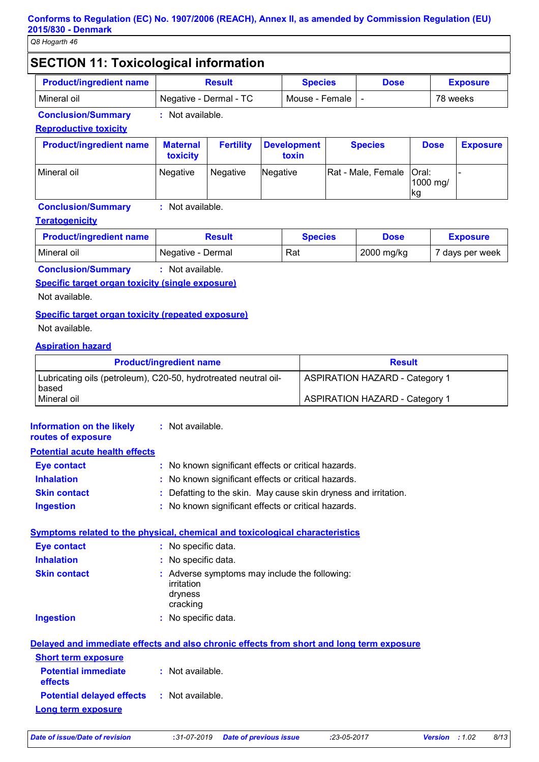# **SECTION 11: Toxicological information**

| <b>Product/ingredient name</b> | Result                 | <b>Species</b>     | <b>Dose</b> | <b>Exposure</b> |
|--------------------------------|------------------------|--------------------|-------------|-----------------|
| Mineral oil                    | Negative - Dermal - TC | Mouse - Female I - |             | 78 weeks        |

#### **Conclusion/Summary :** Not available.

#### **Reproductive toxicity**

| <b>Product/ingredient name</b> | <b>Maternal</b><br>toxicity | <b>Fertility</b> | Development<br>toxin | <b>Species</b>             | <b>Dose</b>     | <b>Exposure</b> |
|--------------------------------|-----------------------------|------------------|----------------------|----------------------------|-----------------|-----------------|
| Mineral oil                    | <b>Negative</b>             | Negative         | Negative             | Rat - Male, Female   Oral: | 1000 mg/<br>∣kg |                 |

#### **Conclusion/Summary :** Not available.

#### **Teratogenicity**

| <b>Product/ingredient name</b> | Result            | <b>Species</b> | <b>Dose</b> | <b>Exposure</b> |
|--------------------------------|-------------------|----------------|-------------|-----------------|
| Mineral oil                    | Negative - Dermal | Rat            | 2000 mg/kg  | 7 days per week |

**Conclusion/Summary :** Not available.

**Specific target organ toxicity (single exposure)**

Not available.

#### **Specific target organ toxicity (repeated exposure)**

Not available.

#### **Aspiration hazard**

| <b>Product/ingredient name</b>                                           | <b>Result</b>                         |
|--------------------------------------------------------------------------|---------------------------------------|
| Lubricating oils (petroleum), C20-50, hydrotreated neutral oil-<br>based | <b>ASPIRATION HAZARD - Category 1</b> |
| Mineral oil                                                              | <b>ASPIRATION HAZARD - Category 1</b> |

| Information on the likely<br>routes of exposure   | : Not available.                                                                         |
|---------------------------------------------------|------------------------------------------------------------------------------------------|
| <b>Potential acute health effects</b>             |                                                                                          |
| <b>Eye contact</b>                                | : No known significant effects or critical hazards.                                      |
| <b>Inhalation</b>                                 | : No known significant effects or critical hazards.                                      |
| <b>Skin contact</b>                               | Defatting to the skin. May cause skin dryness and irritation.                            |
| <b>Ingestion</b>                                  | : No known significant effects or critical hazards.                                      |
|                                                   | <b>Symptoms related to the physical, chemical and toxicological characteristics</b>      |
| <b>Eye contact</b>                                | : No specific data.                                                                      |
| <b>Inhalation</b>                                 | : No specific data.                                                                      |
| <b>Skin contact</b>                               | : Adverse symptoms may include the following:<br>irritation<br>dryness<br>cracking       |
| <b>Ingestion</b>                                  | : No specific data.                                                                      |
|                                                   | Delayed and immediate effects and also chronic effects from short and long term exposure |
| <b>Short term exposure</b>                        |                                                                                          |
| <b>Potential immediate</b><br>effects             | : Not available.                                                                         |
| <b>Potential delayed effects : Not available.</b> |                                                                                          |
| <b>Long term exposure</b>                         |                                                                                          |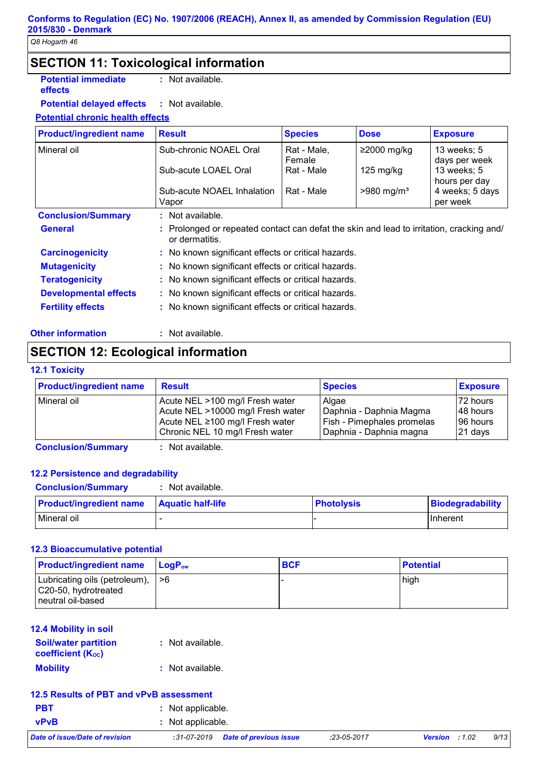# **SECTION 11: Toxicological information**

**Potential immediate effects**

**:** Not available.

**Potential delayed effects :** : Not available.

#### **Potential chronic health effects**

| <b>Product/ingredient name</b> | <b>Result</b>                                                                                            | <b>Species</b>        | <b>Dose</b>              | <b>Exposure</b>              |  |  |
|--------------------------------|----------------------------------------------------------------------------------------------------------|-----------------------|--------------------------|------------------------------|--|--|
| Mineral oil                    | Sub-chronic NOAEL Oral                                                                                   | Rat - Male,<br>Female | $≥2000$ mg/kg            | 13 weeks; 5<br>days per week |  |  |
|                                | Sub-acute LOAEL Oral                                                                                     | Rat - Male            | $125 \text{ mg/kg}$      | 13 weeks; 5<br>hours per day |  |  |
|                                | Sub-acute NOAEL Inhalation<br>Vapor                                                                      | Rat - Male            | $>980$ mg/m <sup>3</sup> | 4 weeks; 5 days<br>per week  |  |  |
| <b>Conclusion/Summary</b>      | $:$ Not available.                                                                                       |                       |                          |                              |  |  |
|                                |                                                                                                          |                       |                          |                              |  |  |
| <b>General</b>                 | Prolonged or repeated contact can defat the skin and lead to irritation, cracking and/<br>or dermatitis. |                       |                          |                              |  |  |
| <b>Carcinogenicity</b>         | : No known significant effects or critical hazards.                                                      |                       |                          |                              |  |  |
| <b>Mutagenicity</b>            | : No known significant effects or critical hazards.                                                      |                       |                          |                              |  |  |
| <b>Teratogenicity</b>          | : No known significant effects or critical hazards.                                                      |                       |                          |                              |  |  |
| <b>Developmental effects</b>   | : No known significant effects or critical hazards.                                                      |                       |                          |                              |  |  |

#### **Other information :** : Not available.

# **SECTION 12: Ecological information**

#### **12.1 Toxicity**

| <b>Product/ingredient name</b> | <b>Result</b>                     | <b>Species</b>                    | <b>Exposure</b> |
|--------------------------------|-----------------------------------|-----------------------------------|-----------------|
| l Mineral oil                  | Acute NEL >100 mg/l Fresh water   | Algae                             | 72 hours        |
|                                | Acute NEL >10000 mg/l Fresh water | Daphnia - Daphnia Magma           | 148 hours       |
|                                | Acute NEL ≥100 mg/l Fresh water   | <b>Fish - Pimephales promelas</b> | 196 hours       |
|                                | Chronic NEL 10 mg/l Fresh water   | Daphnia - Daphnia magna           | 21 days         |

**Conclusion/Summary :** Not available.

#### **12.2 Persistence and degradability**

**Conclusion/Summary :** Not available.

| <b>Product/ingredient name</b> | <b>Aquatic half-life</b> | <b>Photolysis</b> | Biodegradability |
|--------------------------------|--------------------------|-------------------|------------------|
| Mineral oil                    |                          |                   | IInherent        |

#### **12.3 Bioaccumulative potential**

| <b>Product/ingredient name</b>                                                 | $\mathsf{LocP}_\mathsf{ow}$ | <b>BCF</b> | <b>Potential</b> |
|--------------------------------------------------------------------------------|-----------------------------|------------|------------------|
| Lubricating oils (petroleum),  >6<br>C20-50, hydrotreated<br>neutral oil-based |                             |            | high             |

#### **12.4 Mobility in soil**

| <b>Soil/water partition</b> | : Not available. |
|-----------------------------|------------------|
| <b>coefficient (Koc)</b>    |                  |
| <b>Mobility</b>             | : Not available. |

#### **12.5 Results of PBT and vPvB assessment**

| <b>PBT</b>                     | : Not applicable.            |  |
|--------------------------------|------------------------------|--|
| <b>vPvB</b>                    | : Not applicable.            |  |
| Date of issue/Date of revision | Date of<br>$.31 - 07 - 2019$ |  |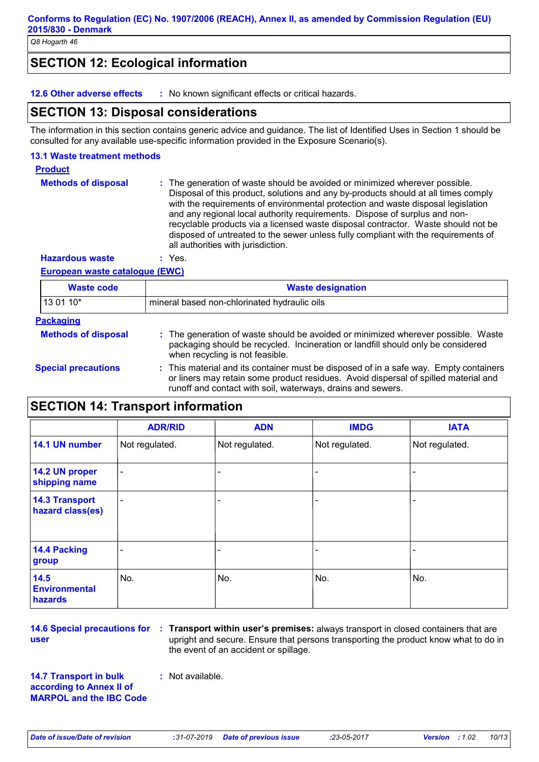# **SECTION 12: Ecological information**

**12.6 Other adverse effects :** No known significant effects or critical hazards.

## **SECTION 13: Disposal considerations**

The information in this section contains generic advice and guidance. The list of Identified Uses in Section 1 should be consulted for any available use-specific information provided in the Exposure Scenario(s).

#### **13.1 Waste treatment methods**

**Product**

**Methods of disposal :** The generation of waste should be avoided or minimized wherever possible. Disposal of this product, solutions and any by-products should at all times comply with the requirements of environmental protection and waste disposal legislation and any regional local authority requirements. Dispose of surplus and nonrecyclable products via a licensed waste disposal contractor. Waste should not be disposed of untreated to the sewer unless fully compliant with the requirements of all authorities with jurisdiction.

**Hazardous waste :** Yes.

#### **European waste catalogue (EWC)**

| <b>Waste code</b>          | <b>Waste designation</b>                                                                                                                                                                                                                    |  |
|----------------------------|---------------------------------------------------------------------------------------------------------------------------------------------------------------------------------------------------------------------------------------------|--|
| 13 01 10*                  | mineral based non-chlorinated hydraulic oils                                                                                                                                                                                                |  |
| <b>Packaging</b>           |                                                                                                                                                                                                                                             |  |
| <b>Methods of disposal</b> | : The generation of waste should be avoided or minimized wherever possible. Waste<br>packaging should be recycled. Incineration or landfill should only be considered<br>when recycling is not feasible.                                    |  |
| <b>Special precautions</b> | : This material and its container must be disposed of in a safe way. Empty containers<br>or liners may retain some product residues. Avoid dispersal of spilled material and<br>runoff and contact with soil, waterways, drains and sewers. |  |

# **SECTION 14: Transport information**

|                                           | <b>ADR/RID</b> | <b>ADN</b>     | <b>IMDG</b>    | <b>IATA</b>    |
|-------------------------------------------|----------------|----------------|----------------|----------------|
| 14.1 UN number                            | Not regulated. | Not regulated. | Not regulated. | Not regulated. |
| 14.2 UN proper<br>shipping name           | ۰              |                |                |                |
| <b>14.3 Transport</b><br>hazard class(es) | -              |                |                |                |
| 14.4 Packing<br>group                     |                |                |                |                |
| 14.5<br><b>Environmental</b><br>hazards   | No.            | No.            | No.            | No.            |

**14.6 Special precautions for user**

**Transport within user's premises:** always transport in closed containers that are **:** upright and secure. Ensure that persons transporting the product know what to do in the event of an accident or spillage.

**14.7 Transport in bulk according to Annex II of MARPOL and the IBC Code :** Not available.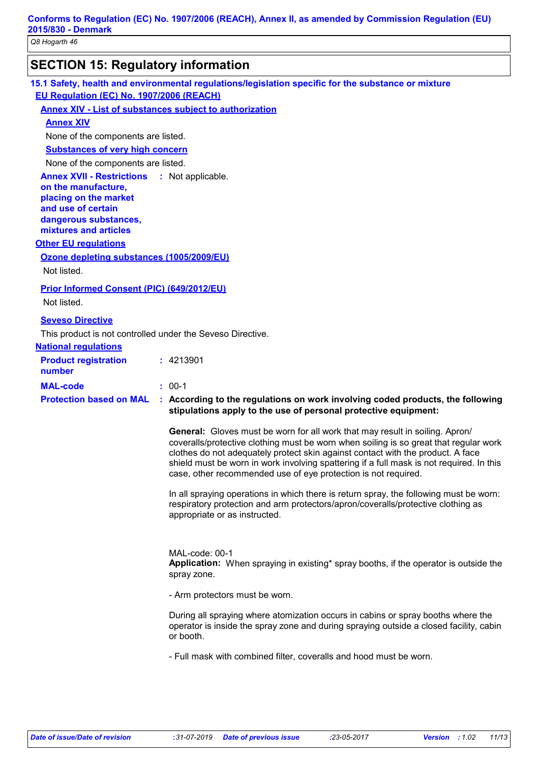# **SECTION 15: Regulatory information**

**15.1 Safety, health and environmental regulations/legislation specific for the substance or mixture EU Regulation (EC) No. 1907/2006 (REACH)**

#### **Annex XIV - List of substances subject to authorization**

#### **Annex XIV**

None of the components are listed.

**Substances of very high concern**

None of the components are listed.

**Annex XVII - Restrictions on the manufacture, placing on the market and use of certain dangerous substances, mixtures and articles** : Not applicable.

#### **Other EU regulations**

#### **Ozone depleting substances (1005/2009/EU)**

Not listed.

#### **Prior Informed Consent (PIC) (649/2012/EU)**

Not listed.

#### **Seveso Directive**

This product is not controlled under the Seveso Directive.

#### **National regulations**

| <b>Product registration</b><br>number | : 4213901                                                                                                                                                                        |
|---------------------------------------|----------------------------------------------------------------------------------------------------------------------------------------------------------------------------------|
| <b>MAL-code</b>                       | $: 00-1$                                                                                                                                                                         |
|                                       | <b>Protection based on MAL : According to the regulations on work involving coded products, the following</b><br>stipulations apply to the use of personal protective equipment: |

**General:** Gloves must be worn for all work that may result in soiling. Apron/ coveralls/protective clothing must be worn when soiling is so great that regular work clothes do not adequately protect skin against contact with the product. A face shield must be worn in work involving spattering if a full mask is not required. In this case, other recommended use of eye protection is not required.

In all spraying operations in which there is return spray, the following must be worn: respiratory protection and arm protectors/apron/coveralls/protective clothing as appropriate or as instructed.

MAL-code: 00-1 **Application:** When spraying in existing\* spray booths, if the operator is outside the spray zone.

- Arm protectors must be worn.

During all spraying where atomization occurs in cabins or spray booths where the operator is inside the spray zone and during spraying outside a closed facility, cabin or booth.

- Full mask with combined filter, coveralls and hood must be worn.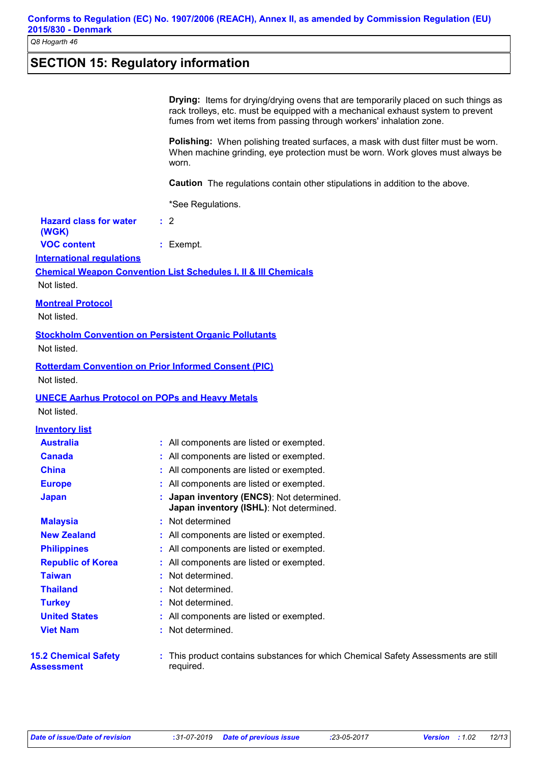# **SECTION 15: Regulatory information**

|                                                       | <b>Drying:</b> Items for drying/drying ovens that are temporarily placed on such things as<br>rack trolleys, etc. must be equipped with a mechanical exhaust system to prevent<br>fumes from wet items from passing through workers' inhalation zone. |
|-------------------------------------------------------|-------------------------------------------------------------------------------------------------------------------------------------------------------------------------------------------------------------------------------------------------------|
|                                                       | Polishing: When polishing treated surfaces, a mask with dust filter must be worn.<br>When machine grinding, eye protection must be worn. Work gloves must always be<br>worn.                                                                          |
|                                                       | Caution The regulations contain other stipulations in addition to the above.                                                                                                                                                                          |
|                                                       |                                                                                                                                                                                                                                                       |
|                                                       | *See Regulations.                                                                                                                                                                                                                                     |
| <b>Hazard class for water</b><br>(WGK)                | $\therefore$ 2                                                                                                                                                                                                                                        |
| <b>VOC content</b>                                    | : Exempt.                                                                                                                                                                                                                                             |
| <b>International regulations</b>                      |                                                                                                                                                                                                                                                       |
|                                                       | <b>Chemical Weapon Convention List Schedules I, II &amp; III Chemicals</b>                                                                                                                                                                            |
| Not listed.                                           |                                                                                                                                                                                                                                                       |
| <b>Montreal Protocol</b>                              |                                                                                                                                                                                                                                                       |
| Not listed.                                           |                                                                                                                                                                                                                                                       |
|                                                       | <b>Stockholm Convention on Persistent Organic Pollutants</b>                                                                                                                                                                                          |
| Not listed.                                           |                                                                                                                                                                                                                                                       |
|                                                       | <b>Rotterdam Convention on Prior Informed Consent (PIC)</b>                                                                                                                                                                                           |
| Not listed.                                           |                                                                                                                                                                                                                                                       |
|                                                       |                                                                                                                                                                                                                                                       |
| <b>UNECE Aarhus Protocol on POPs and Heavy Metals</b> |                                                                                                                                                                                                                                                       |
| Not listed.                                           |                                                                                                                                                                                                                                                       |
| <b>Inventory list</b>                                 |                                                                                                                                                                                                                                                       |
| <b>Australia</b>                                      | : All components are listed or exempted.                                                                                                                                                                                                              |
| <b>Canada</b>                                         | : All components are listed or exempted.                                                                                                                                                                                                              |
| <b>China</b>                                          | : All components are listed or exempted.                                                                                                                                                                                                              |
| <b>Europe</b>                                         | : All components are listed or exempted.                                                                                                                                                                                                              |
| <b>Japan</b>                                          | : Japan inventory (ENCS): Not determined.<br>Japan inventory (ISHL): Not determined.                                                                                                                                                                  |
| <b>Malaysia</b>                                       | Not determined                                                                                                                                                                                                                                        |
| <b>New Zealand</b>                                    | All components are listed or exempted.                                                                                                                                                                                                                |
| <b>Philippines</b>                                    | All components are listed or exempted.                                                                                                                                                                                                                |
| <b>Republic of Korea</b>                              | All components are listed or exempted.                                                                                                                                                                                                                |
| <b>Taiwan</b>                                         | Not determined.                                                                                                                                                                                                                                       |
| <b>Thailand</b>                                       | Not determined.                                                                                                                                                                                                                                       |
| <b>Turkey</b>                                         | Not determined.                                                                                                                                                                                                                                       |
| <b>United States</b>                                  | All components are listed or exempted.                                                                                                                                                                                                                |
| <b>Viet Nam</b>                                       | Not determined.                                                                                                                                                                                                                                       |
| <b>15.2 Chemical Safety</b><br>Assessment             | This product contains substances for which Chemical Safety Assessments are still<br>required.                                                                                                                                                         |